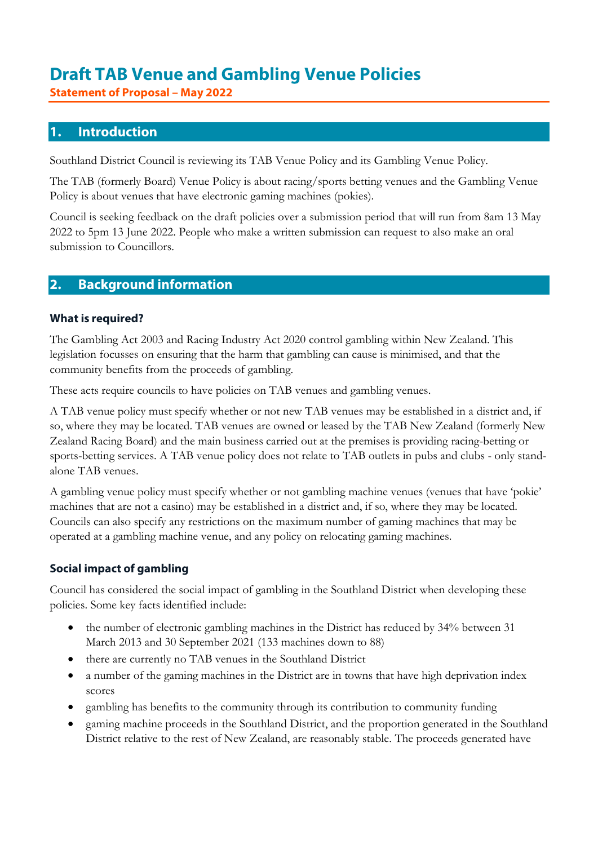## Draft TAB Venue and Gambling Venue Policies

Statement of Proposal – May 2022

### 1. Introduction

Southland District Council is reviewing its TAB Venue Policy and its Gambling Venue Policy.

The TAB (formerly Board) Venue Policy is about racing/sports betting venues and the Gambling Venue Policy is about venues that have electronic gaming machines (pokies).

Council is seeking feedback on the draft policies over a submission period that will run from 8am 13 May 2022 to 5pm 13 June 2022. People who make a written submission can request to also make an oral submission to Councillors.

#### 2. Background information

#### What is required?

The Gambling Act 2003 and Racing Industry Act 2020 control gambling within New Zealand. This legislation focusses on ensuring that the harm that gambling can cause is minimised, and that the community benefits from the proceeds of gambling.

These acts require councils to have policies on TAB venues and gambling venues.

A TAB venue policy must specify whether or not new TAB venues may be established in a district and, if so, where they may be located. TAB venues are owned or leased by the TAB New Zealand (formerly New Zealand Racing Board) and the main business carried out at the premises is providing racing-betting or sports-betting services. A TAB venue policy does not relate to TAB outlets in pubs and clubs - only standalone TAB venues.

A gambling venue policy must specify whether or not gambling machine venues (venues that have 'pokie' machines that are not a casino) may be established in a district and, if so, where they may be located. Councils can also specify any restrictions on the maximum number of gaming machines that may be operated at a gambling machine venue, and any policy on relocating gaming machines.

#### Social impact of gambling

Council has considered the social impact of gambling in the Southland District when developing these policies. Some key facts identified include:

- the number of electronic gambling machines in the District has reduced by 34% between 31 March 2013 and 30 September 2021 (133 machines down to 88)
- there are currently no TAB venues in the Southland District
- a number of the gaming machines in the District are in towns that have high deprivation index scores
- gambling has benefits to the community through its contribution to community funding
- gaming machine proceeds in the Southland District, and the proportion generated in the Southland District relative to the rest of New Zealand, are reasonably stable. The proceeds generated have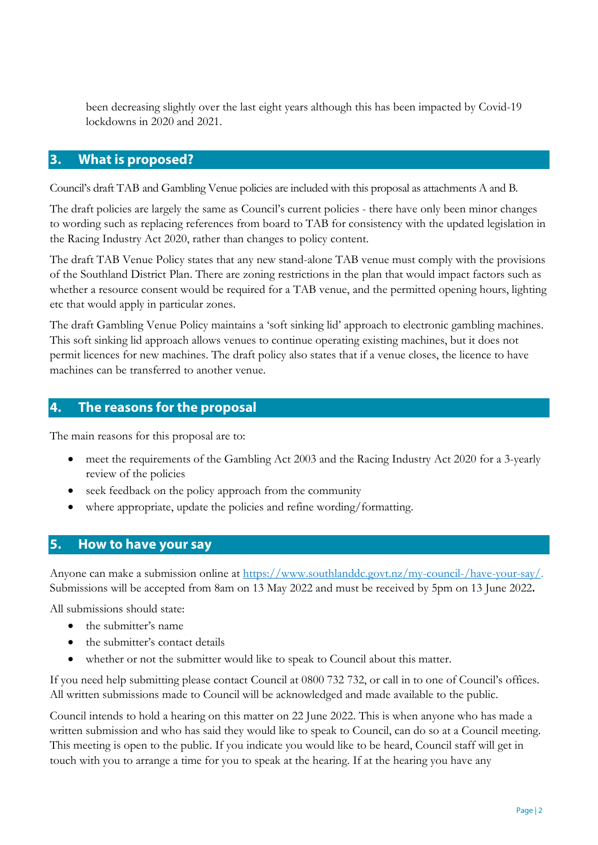been decreasing slightly over the last eight years although this has been impacted by Covid-19 lockdowns in 2020 and 2021.

#### 3. What is proposed?

Council's draft TAB and Gambling Venue policies are included with this proposal as attachments A and B.

The draft policies are largely the same as Council's current policies - there have only been minor changes to wording such as replacing references from board to TAB for consistency with the updated legislation in the Racing Industry Act 2020, rather than changes to policy content.

The draft TAB Venue Policy states that any new stand-alone TAB venue must comply with the provisions of the Southland District Plan. There are zoning restrictions in the plan that would impact factors such as whether a resource consent would be required for a TAB venue, and the permitted opening hours, lighting etc that would apply in particular zones.

The draft Gambling Venue Policy maintains a 'soft sinking lid' approach to electronic gambling machines. This soft sinking lid approach allows venues to continue operating existing machines, but it does not permit licences for new machines. The draft policy also states that if a venue closes, the licence to have machines can be transferred to another venue.

### 4. The reasons for the proposal

The main reasons for this proposal are to:

- meet the requirements of the Gambling Act 2003 and the Racing Industry Act 2020 for a 3-yearly review of the policies
- seek feedback on the policy approach from the community
- where appropriate, update the policies and refine wording/formatting.

### 5. How to have your say

Anyone can make a submission online at https://www.southlanddc.govt.nz/my-council-/have-your-say/. Submissions will be accepted from 8am on 13 May 2022 and must be received by 5pm on 13 June 2022.

All submissions should state:

- the submitter's name
- the submitter's contact details
- whether or not the submitter would like to speak to Council about this matter.

If you need help submitting please contact Council at 0800 732 732, or call in to one of Council's offices. All written submissions made to Council will be acknowledged and made available to the public.

Council intends to hold a hearing on this matter on 22 June 2022. This is when anyone who has made a written submission and who has said they would like to speak to Council, can do so at a Council meeting. This meeting is open to the public. If you indicate you would like to be heard, Council staff will get in touch with you to arrange a time for you to speak at the hearing. If at the hearing you have any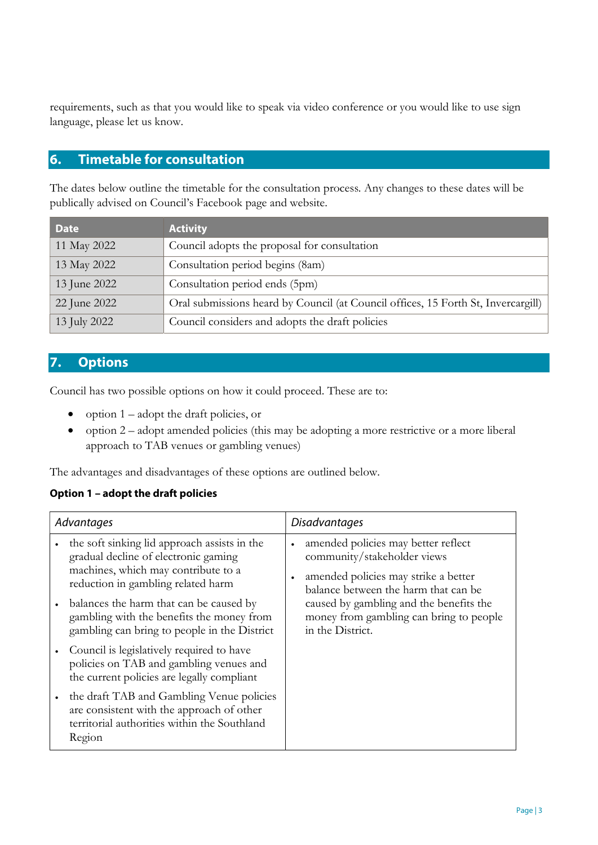requirements, such as that you would like to speak via video conference or you would like to use sign language, please let us know.

#### 6. Timetable for consultation

The dates below outline the timetable for the consultation process. Any changes to these dates will be publically advised on Council's Facebook page and website.

| <b>Date</b>  | <b>Activity</b>                                                                   |
|--------------|-----------------------------------------------------------------------------------|
| 11 May 2022  | Council adopts the proposal for consultation                                      |
| 13 May 2022  | Consultation period begins (8am)                                                  |
| 13 June 2022 | Consultation period ends (5pm)                                                    |
| 22 June 2022 | Oral submissions heard by Council (at Council offices, 15 Forth St, Invercargill) |
| 13 July 2022 | Council considers and adopts the draft policies                                   |

### 7. Options

Council has two possible options on how it could proceed. These are to:

- option  $1 -$ adopt the draft policies, or
- $\bullet$  option 2 adopt amended policies (this may be adopting a more restrictive or a more liberal approach to TAB venues or gambling venues)

The advantages and disadvantages of these options are outlined below.

#### Option 1 – adopt the draft policies

| Advantages |                                                                                                                                                                                                                                                                                                           | Disadvantages |                                                                                                                                                                                                                                                              |
|------------|-----------------------------------------------------------------------------------------------------------------------------------------------------------------------------------------------------------------------------------------------------------------------------------------------------------|---------------|--------------------------------------------------------------------------------------------------------------------------------------------------------------------------------------------------------------------------------------------------------------|
|            | the soft sinking lid approach assists in the<br>gradual decline of electronic gaming<br>machines, which may contribute to a<br>reduction in gambling related harm<br>balances the harm that can be caused by<br>gambling with the benefits the money from<br>gambling can bring to people in the District | $\bullet$     | amended policies may better reflect<br>community/stakeholder views<br>amended policies may strike a better<br>balance between the harm that can be<br>caused by gambling and the benefits the<br>money from gambling can bring to people<br>in the District. |
|            | Council is legislatively required to have<br>policies on TAB and gambling venues and<br>the current policies are legally compliant                                                                                                                                                                        |               |                                                                                                                                                                                                                                                              |
|            | the draft TAB and Gambling Venue policies<br>are consistent with the approach of other<br>territorial authorities within the Southland<br>Region                                                                                                                                                          |               |                                                                                                                                                                                                                                                              |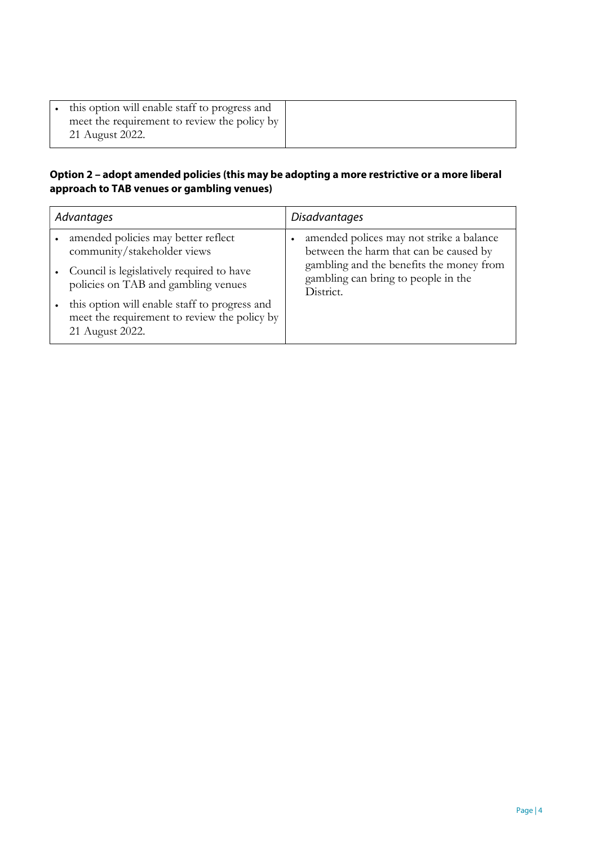| this option will enable staff to progress and                   |
|-----------------------------------------------------------------|
| meet the requirement to review the policy by<br>21 August 2022. |
|                                                                 |

#### Option 2 – adopt amended policies (this may be adopting a more restrictive or a more liberal approach to TAB venues or gambling venues)

| Advantages |                                                                                                                  | <b>Disadvantages</b>                                                                                                           |  |
|------------|------------------------------------------------------------------------------------------------------------------|--------------------------------------------------------------------------------------------------------------------------------|--|
|            | amended policies may better reflect<br>community/stakeholder views                                               | amended polices may not strike a balance<br>between the harm that can be caused by<br>gambling and the benefits the money from |  |
|            | Council is legislatively required to have<br>policies on TAB and gambling venues                                 | gambling can bring to people in the<br>District.                                                                               |  |
|            | this option will enable staff to progress and<br>meet the requirement to review the policy by<br>21 August 2022. |                                                                                                                                |  |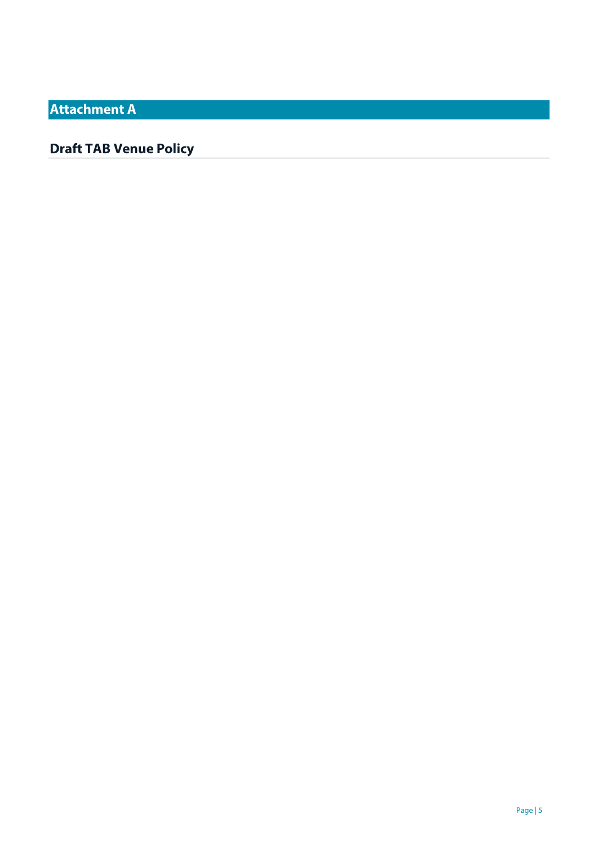Attachment A

## Draft TAB Venue Policy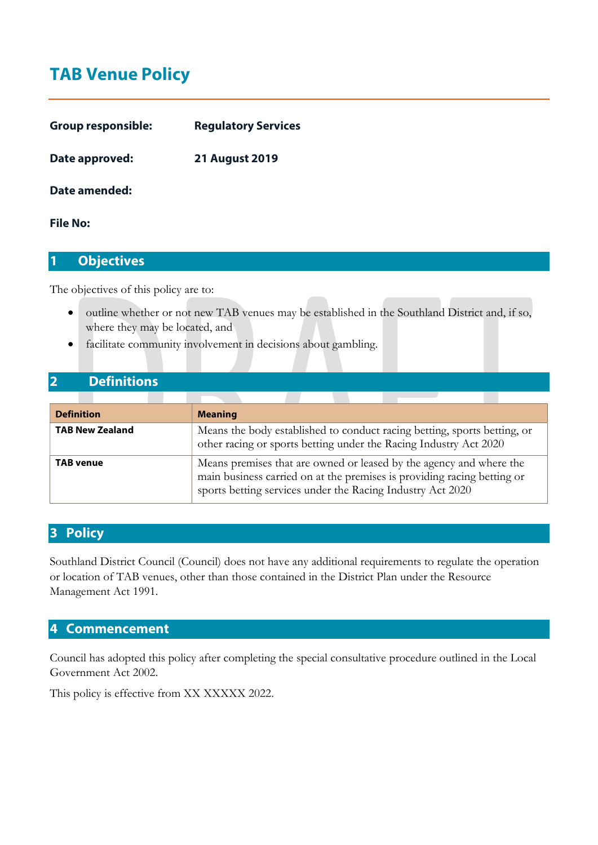# TAB Venue Policy

| <b>Group responsible:</b> | <b>Regulatory Services</b> |  |
|---------------------------|----------------------------|--|
| Date approved:            | <b>21 August 2019</b>      |  |

#### Date amended:

#### File No:

#### 1 Objectives

The objectives of this policy are to:

- outline whether or not new TAB venues may be established in the Southland District and, if so, where they may be located, and
- facilitate community involvement in decisions about gambling.

#### 2 Definitions

| <b>Definition</b>      | <b>Meaning</b>                                                                                                                                                                                               |
|------------------------|--------------------------------------------------------------------------------------------------------------------------------------------------------------------------------------------------------------|
| <b>TAB New Zealand</b> | Means the body established to conduct racing betting, sports betting, or<br>other racing or sports betting under the Racing Industry Act 2020                                                                |
| <b>TAB venue</b>       | Means premises that are owned or leased by the agency and where the<br>main business carried on at the premises is providing racing betting or<br>sports betting services under the Racing Industry Act 2020 |

#### 3 Policy

Southland District Council (Council) does not have any additional requirements to regulate the operation or location of TAB venues, other than those contained in the District Plan under the Resource Management Act 1991.

#### 4 Commencement

Council has adopted this policy after completing the special consultative procedure outlined in the Local Government Act 2002.

This policy is effective from XX XXXXX 2022.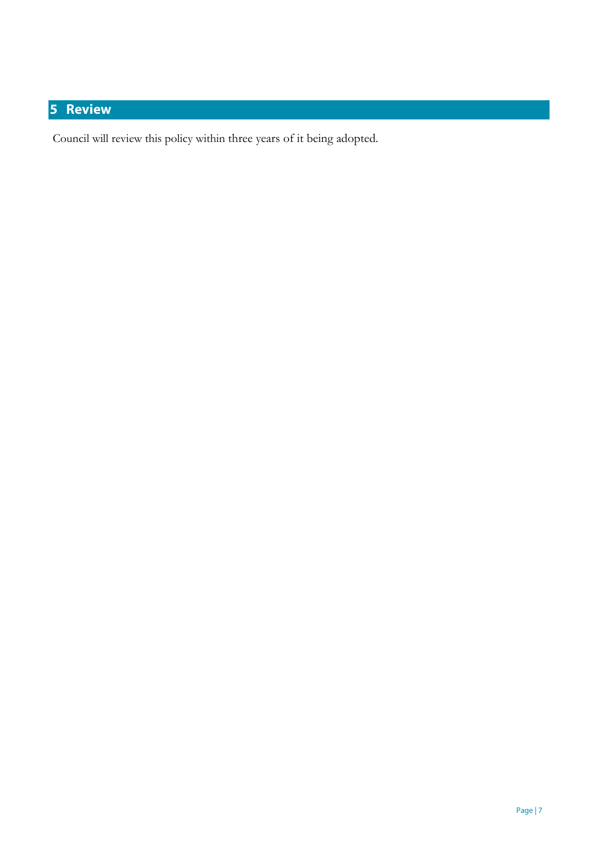# 5 Review

Council will review this policy within three years of it being adopted.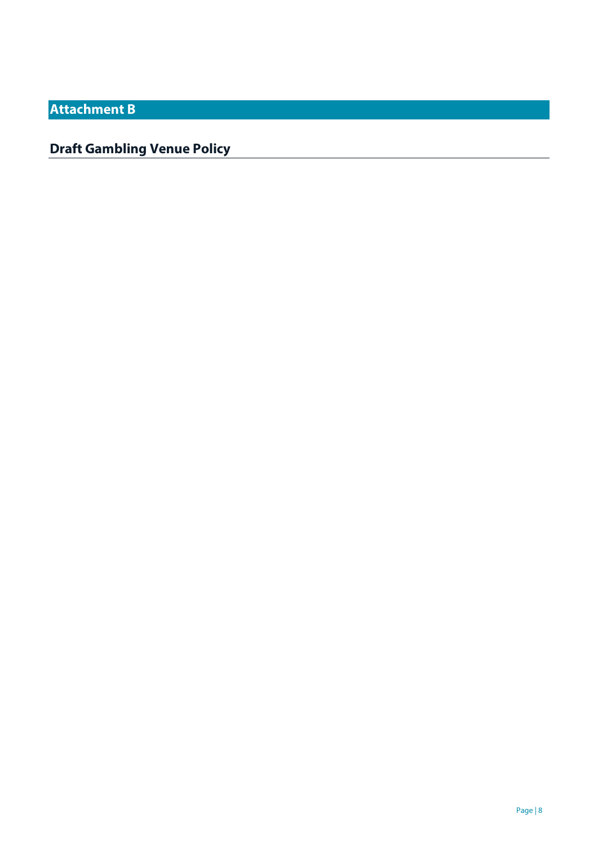Attachment B

## Draft Gambling Venue Policy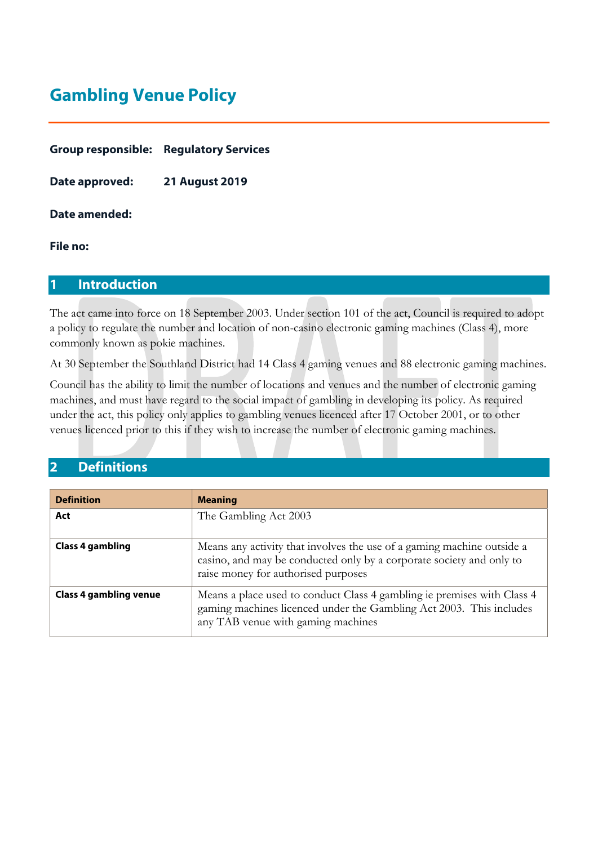# Gambling Venue Policy

|                | <b>Group responsible: Regulatory Services</b> |
|----------------|-----------------------------------------------|
| Date approved: | <b>21 August 2019</b>                         |

Date amended:

#### File no:

#### 1 Introduction

The act came into force on 18 September 2003. Under section 101 of the act, Council is required to adopt a policy to regulate the number and location of non-casino electronic gaming machines (Class 4), more commonly known as pokie machines.

At 30 September the Southland District had 14 Class 4 gaming venues and 88 electronic gaming machines.

Council has the ability to limit the number of locations and venues and the number of electronic gaming machines, and must have regard to the social impact of gambling in developing its policy. As required under the act, this policy only applies to gambling venues licenced after 17 October 2001, or to other venues licenced prior to this if they wish to increase the number of electronic gaming machines.

### 2 Definitions

| <b>Definition</b>             | <b>Meaning</b>                                                                                                                                                                        |
|-------------------------------|---------------------------------------------------------------------------------------------------------------------------------------------------------------------------------------|
| Act                           | The Gambling Act 2003                                                                                                                                                                 |
| <b>Class 4 gambling</b>       | Means any activity that involves the use of a gaming machine outside a<br>casino, and may be conducted only by a corporate society and only to<br>raise money for authorised purposes |
| <b>Class 4 gambling venue</b> | Means a place used to conduct Class 4 gambling ie premises with Class 4<br>gaming machines licenced under the Gambling Act 2003. This includes<br>any TAB venue with gaming machines  |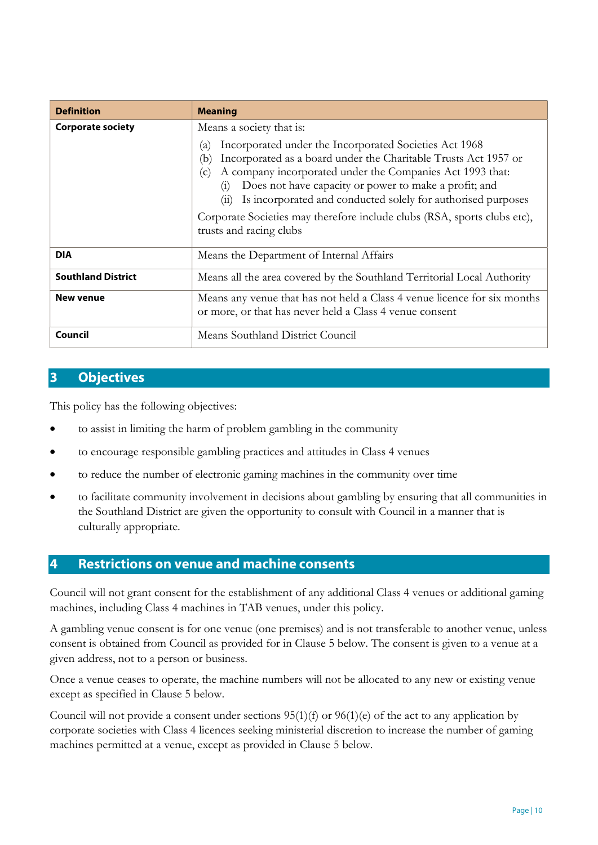| <b>Definition</b>         | <b>Meaning</b>                                                                                                                                                                                                                                                                                                                                                                                                                                                                         |  |
|---------------------------|----------------------------------------------------------------------------------------------------------------------------------------------------------------------------------------------------------------------------------------------------------------------------------------------------------------------------------------------------------------------------------------------------------------------------------------------------------------------------------------|--|
| <b>Corporate society</b>  | Means a society that is:<br>Incorporated under the Incorporated Societies Act 1968<br>(a)<br>Incorporated as a board under the Charitable Trusts Act 1957 or<br>(b)<br>A company incorporated under the Companies Act 1993 that:<br>(c)<br>Does not have capacity or power to make a profit; and<br>(1)<br>Is incorporated and conducted solely for authorised purposes<br>(11)<br>Corporate Societies may therefore include clubs (RSA, sports clubs etc),<br>trusts and racing clubs |  |
| <b>DIA</b>                | Means the Department of Internal Affairs                                                                                                                                                                                                                                                                                                                                                                                                                                               |  |
| <b>Southland District</b> | Means all the area covered by the Southland Territorial Local Authority                                                                                                                                                                                                                                                                                                                                                                                                                |  |
| <b>New venue</b>          | Means any venue that has not held a Class 4 venue licence for six months<br>or more, or that has never held a Class 4 venue consent                                                                                                                                                                                                                                                                                                                                                    |  |
| Council                   | Means Southland District Council                                                                                                                                                                                                                                                                                                                                                                                                                                                       |  |

#### 3 Objectives

This policy has the following objectives:

- to assist in limiting the harm of problem gambling in the community
- to encourage responsible gambling practices and attitudes in Class 4 venues
- to reduce the number of electronic gaming machines in the community over time
- to facilitate community involvement in decisions about gambling by ensuring that all communities in the Southland District are given the opportunity to consult with Council in a manner that is culturally appropriate.

#### 4 Restrictions on venue and machine consents

Council will not grant consent for the establishment of any additional Class 4 venues or additional gaming machines, including Class 4 machines in TAB venues, under this policy.

A gambling venue consent is for one venue (one premises) and is not transferable to another venue, unless consent is obtained from Council as provided for in Clause 5 below. The consent is given to a venue at a given address, not to a person or business.

Once a venue ceases to operate, the machine numbers will not be allocated to any new or existing venue except as specified in Clause 5 below.

Council will not provide a consent under sections 95(1)(f) or 96(1)(e) of the act to any application by corporate societies with Class 4 licences seeking ministerial discretion to increase the number of gaming machines permitted at a venue, except as provided in Clause 5 below.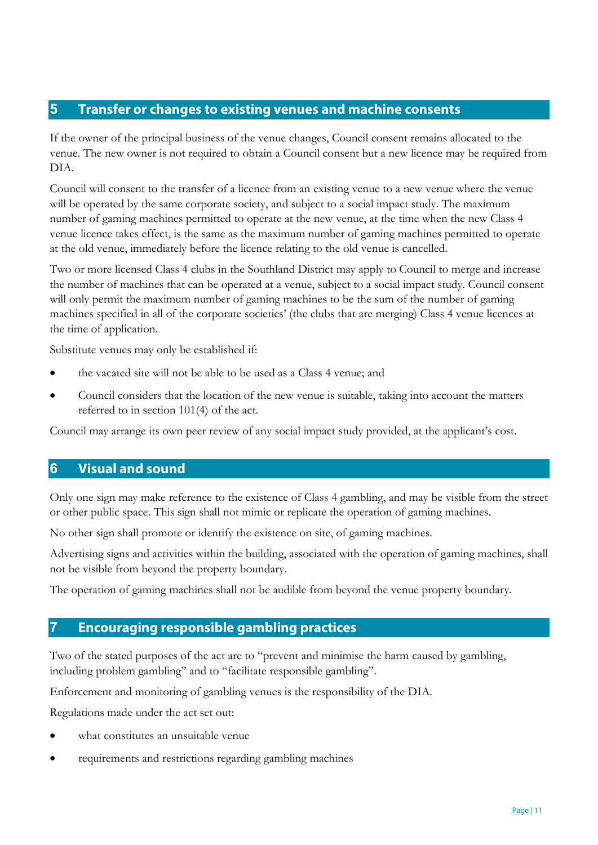### 5 Transfer or changes to existing venues and machine consents

If the owner of the principal business of the venue changes, Council consent remains allocated to the venue. The new owner is not required to obtain a Council consent but a new licence may be required from DIA.

Council will consent to the transfer of a licence from an existing venue to a new venue where the venue will be operated by the same corporate society, and subject to a social impact study. The maximum number of gaming machines permitted to operate at the new venue, at the time when the new Class 4 venue licence takes effect, is the same as the maximum number of gaming machines permitted to operate at the old venue, immediately before the licence relating to the old venue is cancelled.

Two or more licensed Class 4 clubs in the Southland District may apply to Council to merge and increase the number of machines that can be operated at a venue, subject to a social impact study. Council consent will only permit the maximum number of gaming machines to be the sum of the number of gaming machines specified in all of the corporate societies' (the clubs that are merging) Class 4 venue licences at the time of application.

Substitute venues may only be established if:

- the vacated site will not be able to be used as a Class 4 venue; and
- Council considers that the location of the new venue is suitable, taking into account the matters referred to in section 101(4) of the act.

Council may arrange its own peer review of any social impact study provided, at the applicant's cost.

#### 6 Visual and sound

Only one sign may make reference to the existence of Class 4 gambling, and may be visible from the street or other public space. This sign shall not mimic or replicate the operation of gaming machines.

No other sign shall promote or identify the existence on site, of gaming machines.

Advertising signs and activities within the building, associated with the operation of gaming machines, shall not be visible from beyond the property boundary.

The operation of gaming machines shall not be audible from beyond the venue property boundary.

### 7 Encouraging responsible gambling practices

Two of the stated purposes of the act are to "prevent and minimise the harm caused by gambling, including problem gambling'' and to "facilitate responsible gambling".

Enforcement and monitoring of gambling venues is the responsibility of the DIA.

Regulations made under the act set out:

- what constitutes an unsuitable venue
- requirements and restrictions regarding gambling machines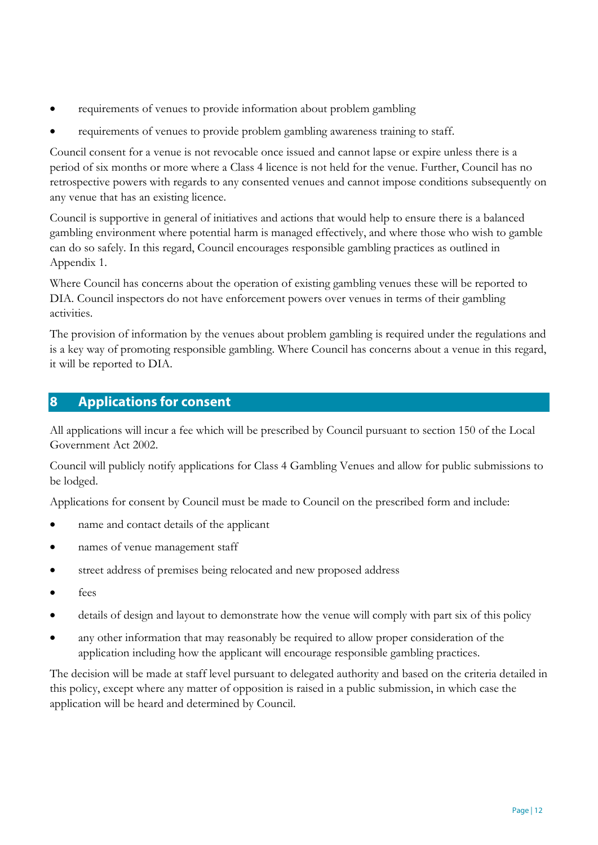- requirements of venues to provide information about problem gambling
- requirements of venues to provide problem gambling awareness training to staff.

Council consent for a venue is not revocable once issued and cannot lapse or expire unless there is a period of six months or more where a Class 4 licence is not held for the venue. Further, Council has no retrospective powers with regards to any consented venues and cannot impose conditions subsequently on any venue that has an existing licence.

Council is supportive in general of initiatives and actions that would help to ensure there is a balanced gambling environment where potential harm is managed effectively, and where those who wish to gamble can do so safely. In this regard, Council encourages responsible gambling practices as outlined in Appendix 1.

Where Council has concerns about the operation of existing gambling venues these will be reported to DIA. Council inspectors do not have enforcement powers over venues in terms of their gambling activities.

The provision of information by the venues about problem gambling is required under the regulations and is a key way of promoting responsible gambling. Where Council has concerns about a venue in this regard, it will be reported to DIA.

#### 8 Applications for consent

All applications will incur a fee which will be prescribed by Council pursuant to section 150 of the Local Government Act 2002.

Council will publicly notify applications for Class 4 Gambling Venues and allow for public submissions to be lodged.

Applications for consent by Council must be made to Council on the prescribed form and include:

- name and contact details of the applicant
- names of venue management staff
- street address of premises being relocated and new proposed address
- fees
- details of design and layout to demonstrate how the venue will comply with part six of this policy
- any other information that may reasonably be required to allow proper consideration of the application including how the applicant will encourage responsible gambling practices.

The decision will be made at staff level pursuant to delegated authority and based on the criteria detailed in this policy, except where any matter of opposition is raised in a public submission, in which case the application will be heard and determined by Council.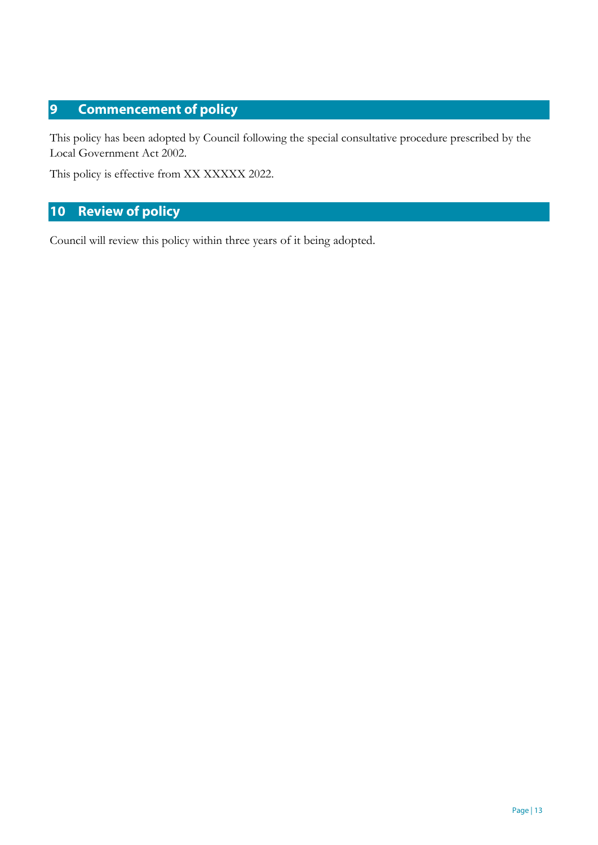### 9 Commencement of policy

This policy has been adopted by Council following the special consultative procedure prescribed by the Local Government Act 2002.

This policy is effective from XX XXXXX 2022.

### 10 Review of policy

Council will review this policy within three years of it being adopted.